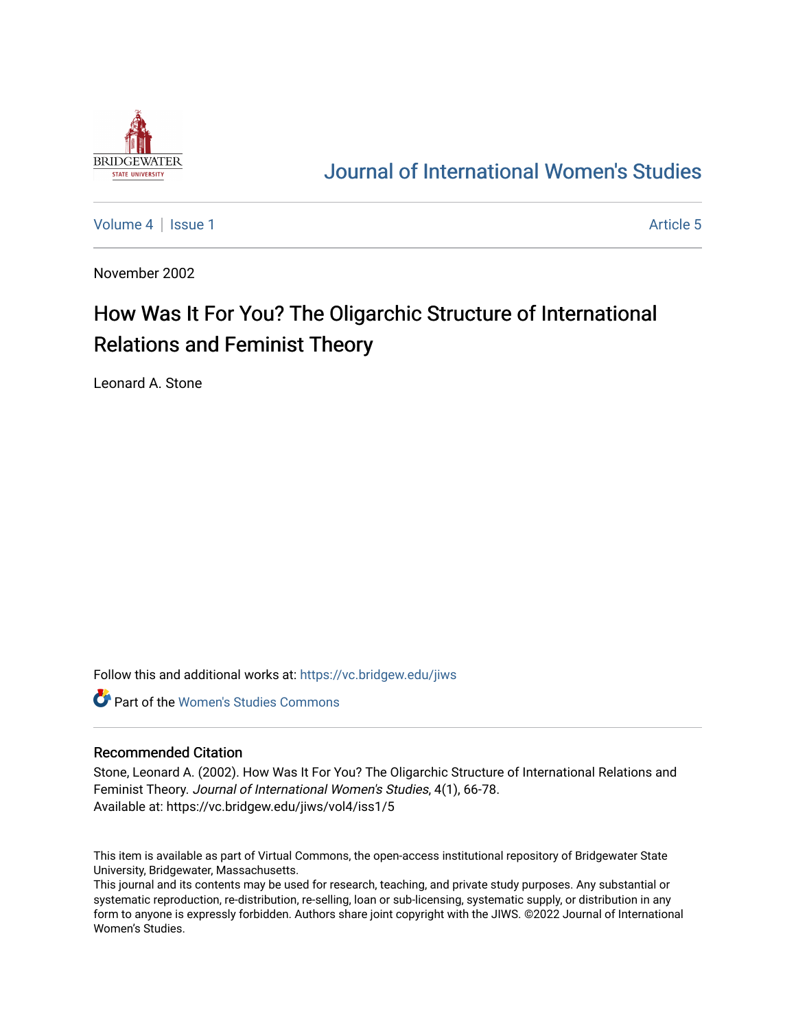

## [Journal of International Women's Studies](https://vc.bridgew.edu/jiws)

[Volume 4](https://vc.bridgew.edu/jiws/vol4) | [Issue 1](https://vc.bridgew.edu/jiws/vol4/iss1) Article 5

November 2002

# How Was It For You? The Oligarchic Structure of International Relations and Feminist Theory

Leonard A. Stone

Follow this and additional works at: [https://vc.bridgew.edu/jiws](https://vc.bridgew.edu/jiws?utm_source=vc.bridgew.edu%2Fjiws%2Fvol4%2Fiss1%2F5&utm_medium=PDF&utm_campaign=PDFCoverPages)

**C** Part of the Women's Studies Commons

#### Recommended Citation

Stone, Leonard A. (2002). How Was It For You? The Oligarchic Structure of International Relations and Feminist Theory. Journal of International Women's Studies, 4(1), 66-78. Available at: https://vc.bridgew.edu/jiws/vol4/iss1/5

This item is available as part of Virtual Commons, the open-access institutional repository of Bridgewater State University, Bridgewater, Massachusetts.

This journal and its contents may be used for research, teaching, and private study purposes. Any substantial or systematic reproduction, re-distribution, re-selling, loan or sub-licensing, systematic supply, or distribution in any form to anyone is expressly forbidden. Authors share joint copyright with the JIWS. ©2022 Journal of International Women's Studies.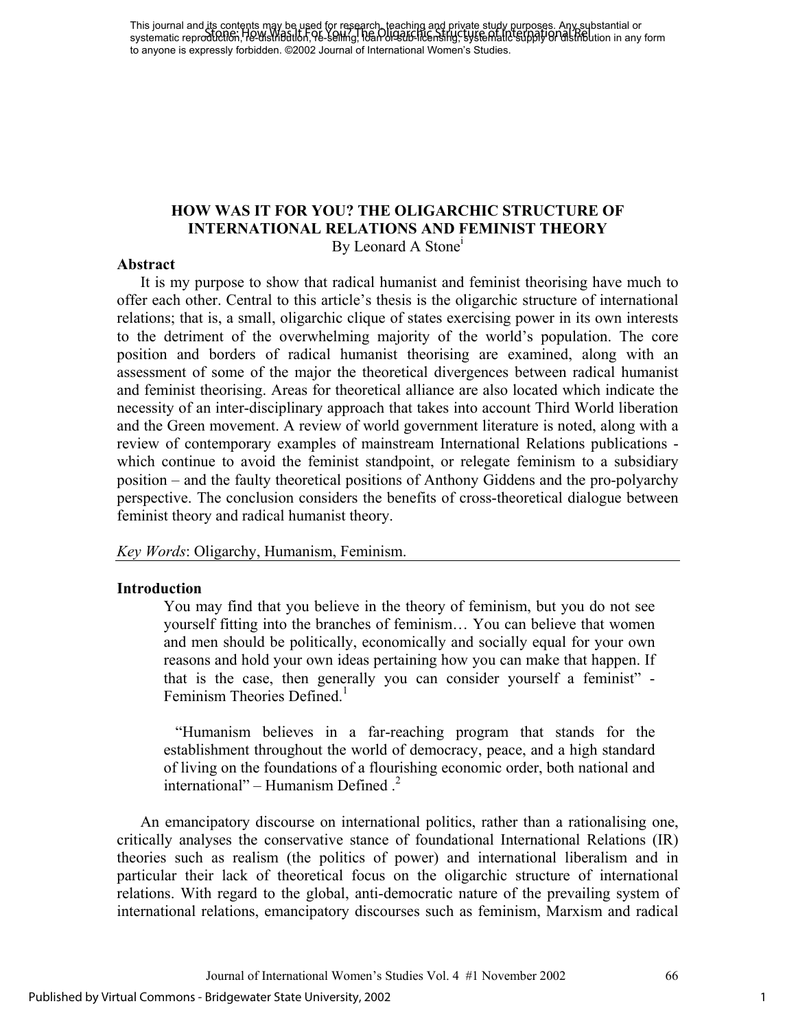This journal and its contents may be used for research, teaching and private study purposes. Any substantial or This journal and the completion (Was It For You? The Oligaring and private stapy Reposites App Sepsianial or<br>systematic reproduction, He distribution, 96-Selling, 10an or 2016 he nonling, systematic supply or distribution to anyone is expressly forbidden. ©2002 Journal of International Women's Studies.

#### **HOW WAS IT FOR YOU? THE OLIGARCHIC STRUCTURE OF INTERNATIONAL RELATIONS AND FEMINIST THEORY**  By Leonard A Stone<sup>1</sup>

#### **Abstract**

It is my purpose to show that radical humanist and feminist theorising have much to offer each other. Central to this article's thesis is the oligarchic structure of international relations; that is, a small, oligarchic clique of states exercising power in its own interests to the detriment of the overwhelming majority of the world's population. The core position and borders of radical humanist theorising are examined, along with an assessment of some of the major the theoretical divergences between radical humanist and feminist theorising. Areas for theoretical alliance are also located which indicate the necessity of an inter-disciplinary approach that takes into account Third World liberation and the Green movement. A review of world government literature is noted, along with a review of contemporary examples of mainstream International Relations publications which continue to avoid the feminist standpoint, or relegate feminism to a subsidiary position – and the faulty theoretical positions of Anthony Giddens and the pro-polyarchy perspective. The conclusion considers the benefits of cross-theoretical dialogue between feminist theory and radical humanist theory.

*Key Words*: Oligarchy, Humanism, Feminism.

#### **Introduction**

You may find that you believe in the theory of feminism, but you do not see yourself fitting into the branches of feminism… You can believe that women and men should be politically, economically and socially equal for your own reasons and hold your own ideas pertaining how you can make that happen. If that is the case, then generally you can consider yourself a feminist" - Feminism Theories Defined $<sup>1</sup>$ </sup>

"Humanism believes in a far-reaching program that stands for the establishment throughout the world of democracy, peace, and a high standard of living on the foundations of a flourishing economic order, both national and international" – Humanism Defined  $<sup>2</sup>$ </sup>

An emancipatory discourse on international politics, rather than a rationalising one, critically analyses the conservative stance of foundational International Relations (IR) theories such as realism (the politics of power) and international liberalism and in particular their lack of theoretical focus on the oligarchic structure of international relations. With regard to the global, anti-democratic nature of the prevailing system of international relations, emancipatory discourses such as feminism, Marxism and radical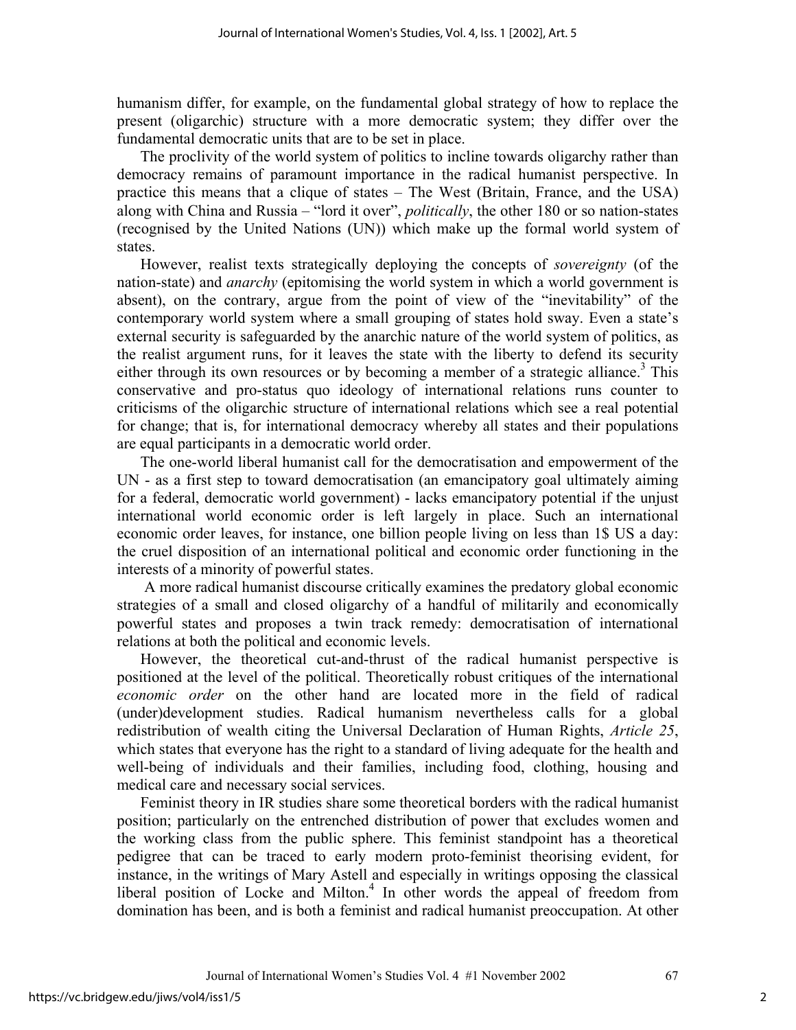humanism differ, for example, on the fundamental global strategy of how to replace the present (oligarchic) structure with a more democratic system; they differ over the fundamental democratic units that are to be set in place.

The proclivity of the world system of politics to incline towards oligarchy rather than democracy remains of paramount importance in the radical humanist perspective. In practice this means that a clique of states – The West (Britain, France, and the USA) along with China and Russia – "lord it over", *politically*, the other 180 or so nation-states (recognised by the United Nations (UN)) which make up the formal world system of states.

However, realist texts strategically deploying the concepts of *sovereignty* (of the nation-state) and *anarchy* (epitomising the world system in which a world government is absent), on the contrary, argue from the point of view of the "inevitability" of the contemporary world system where a small grouping of states hold sway. Even a state's external security is safeguarded by the anarchic nature of the world system of politics, as the realist argument runs, for it leaves the state with the liberty to defend its security either through its own resources or by becoming a member of a strategic alliance.<sup>3</sup> This conservative and pro-status quo ideology of international relations runs counter to criticisms of the oligarchic structure of international relations which see a real potential for change; that is, for international democracy whereby all states and their populations are equal participants in a democratic world order.

The one-world liberal humanist call for the democratisation and empowerment of the UN - as a first step to toward democratisation (an emancipatory goal ultimately aiming for a federal, democratic world government) - lacks emancipatory potential if the unjust international world economic order is left largely in place. Such an international economic order leaves, for instance, one billion people living on less than 1\$ US a day: the cruel disposition of an international political and economic order functioning in the interests of a minority of powerful states.

 A more radical humanist discourse critically examines the predatory global economic strategies of a small and closed oligarchy of a handful of militarily and economically powerful states and proposes a twin track remedy: democratisation of international relations at both the political and economic levels.

However, the theoretical cut-and-thrust of the radical humanist perspective is positioned at the level of the political. Theoretically robust critiques of the international *economic order* on the other hand are located more in the field of radical (under)development studies. Radical humanism nevertheless calls for a global redistribution of wealth citing the Universal Declaration of Human Rights, *Article 25*, which states that everyone has the right to a standard of living adequate for the health and well-being of individuals and their families, including food, clothing, housing and medical care and necessary social services.

Feminist theory in IR studies share some theoretical borders with the radical humanist position; particularly on the entrenched distribution of power that excludes women and the working class from the public sphere. This feminist standpoint has a theoretical pedigree that can be traced to early modern proto-feminist theorising evident, for instance, in the writings of Mary Astell and especially in writings opposing the classical liberal position of Locke and Milton.<sup>4</sup> In other words the appeal of freedom from domination has been, and is both a feminist and radical humanist preoccupation. At other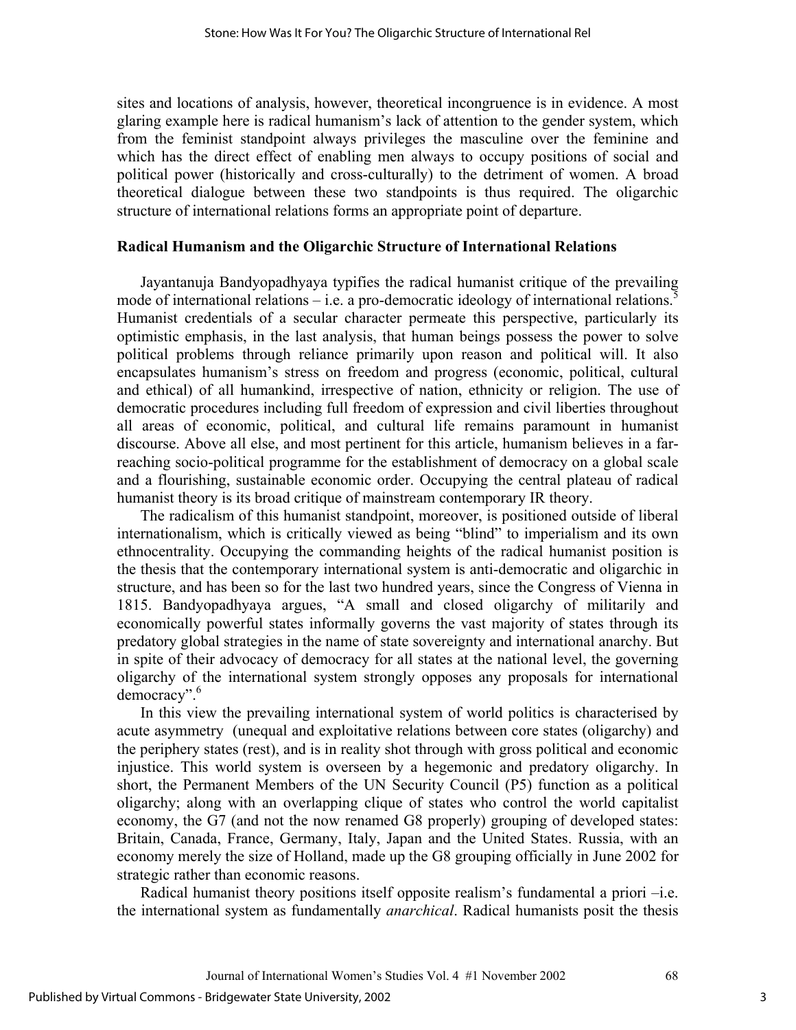sites and locations of analysis, however, theoretical incongruence is in evidence. A most glaring example here is radical humanism's lack of attention to the gender system, which from the feminist standpoint always privileges the masculine over the feminine and which has the direct effect of enabling men always to occupy positions of social and political power (historically and cross-culturally) to the detriment of women. A broad theoretical dialogue between these two standpoints is thus required. The oligarchic structure of international relations forms an appropriate point of departure.

#### **Radical Humanism and the Oligarchic Structure of International Relations**

Jayantanuja Bandyopadhyaya typifies the radical humanist critique of the prevailing mode of international relations – i.e. a pro-democratic ideology of international relations.<sup>5</sup> Humanist credentials of a secular character permeate this perspective, particularly its optimistic emphasis, in the last analysis, that human beings possess the power to solve political problems through reliance primarily upon reason and political will. It also encapsulates humanism's stress on freedom and progress (economic, political, cultural and ethical) of all humankind, irrespective of nation, ethnicity or religion. The use of democratic procedures including full freedom of expression and civil liberties throughout all areas of economic, political, and cultural life remains paramount in humanist discourse. Above all else, and most pertinent for this article, humanism believes in a farreaching socio-political programme for the establishment of democracy on a global scale and a flourishing, sustainable economic order. Occupying the central plateau of radical humanist theory is its broad critique of mainstream contemporary IR theory.

The radicalism of this humanist standpoint, moreover, is positioned outside of liberal internationalism, which is critically viewed as being "blind" to imperialism and its own ethnocentrality. Occupying the commanding heights of the radical humanist position is the thesis that the contemporary international system is anti-democratic and oligarchic in structure, and has been so for the last two hundred years, since the Congress of Vienna in 1815. Bandyopadhyaya argues, "A small and closed oligarchy of militarily and economically powerful states informally governs the vast majority of states through its predatory global strategies in the name of state sovereignty and international anarchy. But in spite of their advocacy of democracy for all states at the national level, the governing oligarchy of the international system strongly opposes any proposals for international democracy".<sup>6</sup>

In this view the prevailing international system of world politics is characterised by acute asymmetry (unequal and exploitative relations between core states (oligarchy) and the periphery states (rest), and is in reality shot through with gross political and economic injustice. This world system is overseen by a hegemonic and predatory oligarchy. In short, the Permanent Members of the UN Security Council (P5) function as a political oligarchy; along with an overlapping clique of states who control the world capitalist economy, the G7 (and not the now renamed G8 properly) grouping of developed states: Britain, Canada, France, Germany, Italy, Japan and the United States. Russia, with an economy merely the size of Holland, made up the G8 grouping officially in June 2002 for strategic rather than economic reasons.

Radical humanist theory positions itself opposite realism's fundamental a priori –i.e. the international system as fundamentally *anarchical*. Radical humanists posit the thesis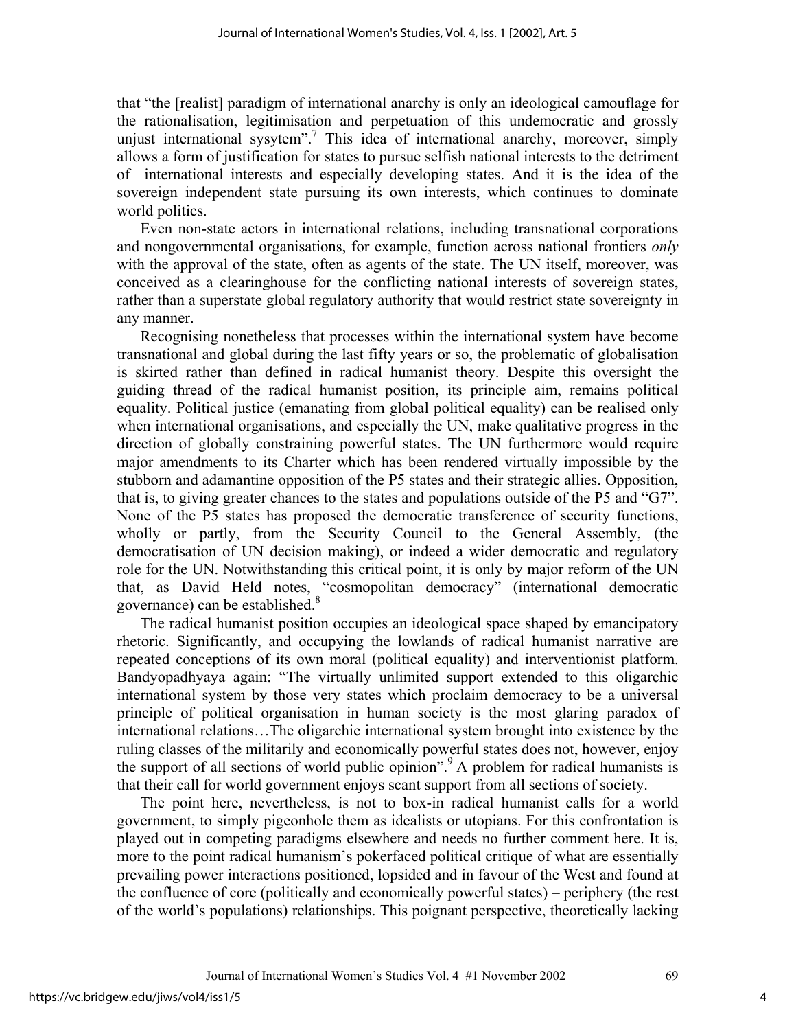that "the [realist] paradigm of international anarchy is only an ideological camouflage for the rationalisation, legitimisation and perpetuation of this undemocratic and grossly unjust international sysytem".<sup>7</sup> This idea of international anarchy, moreover, simply allows a form of justification for states to pursue selfish national interests to the detriment of international interests and especially developing states. And it is the idea of the sovereign independent state pursuing its own interests, which continues to dominate world politics.

Even non-state actors in international relations, including transnational corporations and nongovernmental organisations, for example, function across national frontiers *only* with the approval of the state, often as agents of the state. The UN itself, moreover, was conceived as a clearinghouse for the conflicting national interests of sovereign states, rather than a superstate global regulatory authority that would restrict state sovereignty in any manner.

Recognising nonetheless that processes within the international system have become transnational and global during the last fifty years or so, the problematic of globalisation is skirted rather than defined in radical humanist theory. Despite this oversight the guiding thread of the radical humanist position, its principle aim, remains political equality. Political justice (emanating from global political equality) can be realised only when international organisations, and especially the UN, make qualitative progress in the direction of globally constraining powerful states. The UN furthermore would require major amendments to its Charter which has been rendered virtually impossible by the stubborn and adamantine opposition of the P5 states and their strategic allies. Opposition, that is, to giving greater chances to the states and populations outside of the P5 and "G7". None of the P5 states has proposed the democratic transference of security functions, wholly or partly, from the Security Council to the General Assembly, (the democratisation of UN decision making), or indeed a wider democratic and regulatory role for the UN. Notwithstanding this critical point, it is only by major reform of the UN that, as David Held notes, "cosmopolitan democracy" (international democratic governance) can be established.<sup>8</sup>

The radical humanist position occupies an ideological space shaped by emancipatory rhetoric. Significantly, and occupying the lowlands of radical humanist narrative are repeated conceptions of its own moral (political equality) and interventionist platform. Bandyopadhyaya again: "The virtually unlimited support extended to this oligarchic international system by those very states which proclaim democracy to be a universal principle of political organisation in human society is the most glaring paradox of international relations…The oligarchic international system brought into existence by the ruling classes of the militarily and economically powerful states does not, however, enjoy the support of all sections of world public opinion".<sup>9</sup> A problem for radical humanists is that their call for world government enjoys scant support from all sections of society.

The point here, nevertheless, is not to box-in radical humanist calls for a world government, to simply pigeonhole them as idealists or utopians. For this confrontation is played out in competing paradigms elsewhere and needs no further comment here. It is, more to the point radical humanism's pokerfaced political critique of what are essentially prevailing power interactions positioned, lopsided and in favour of the West and found at the confluence of core (politically and economically powerful states) – periphery (the rest of the world's populations) relationships. This poignant perspective, theoretically lacking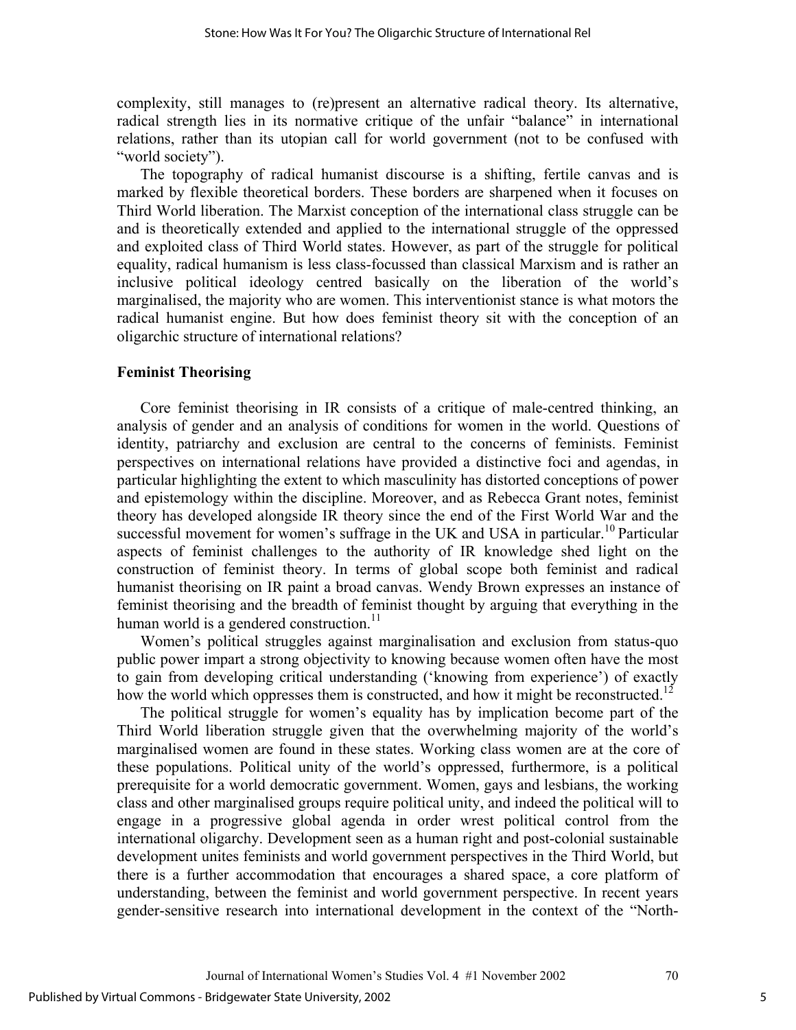complexity, still manages to (re)present an alternative radical theory. Its alternative, radical strength lies in its normative critique of the unfair "balance" in international relations, rather than its utopian call for world government (not to be confused with "world society").

The topography of radical humanist discourse is a shifting, fertile canvas and is marked by flexible theoretical borders. These borders are sharpened when it focuses on Third World liberation. The Marxist conception of the international class struggle can be and is theoretically extended and applied to the international struggle of the oppressed and exploited class of Third World states. However, as part of the struggle for political equality, radical humanism is less class-focussed than classical Marxism and is rather an inclusive political ideology centred basically on the liberation of the world's marginalised, the majority who are women. This interventionist stance is what motors the radical humanist engine. But how does feminist theory sit with the conception of an oligarchic structure of international relations?

#### **Feminist Theorising**

Core feminist theorising in IR consists of a critique of male-centred thinking, an analysis of gender and an analysis of conditions for women in the world. Questions of identity, patriarchy and exclusion are central to the concerns of feminists. Feminist perspectives on international relations have provided a distinctive foci and agendas, in particular highlighting the extent to which masculinity has distorted conceptions of power and epistemology within the discipline. Moreover, and as Rebecca Grant notes, feminist theory has developed alongside IR theory since the end of the First World War and the successful movement for women's suffrage in the UK and USA in particular.<sup>10</sup> Particular aspects of feminist challenges to the authority of IR knowledge shed light on the construction of feminist theory. In terms of global scope both feminist and radical humanist theorising on IR paint a broad canvas. Wendy Brown expresses an instance of feminist theorising and the breadth of feminist thought by arguing that everything in the human world is a gendered construction. $11$ 

Women's political struggles against marginalisation and exclusion from status-quo public power impart a strong objectivity to knowing because women often have the most to gain from developing critical understanding ('knowing from experience') of exactly how the world which oppresses them is constructed, and how it might be reconstructed.<sup>12</sup>

The political struggle for women's equality has by implication become part of the Third World liberation struggle given that the overwhelming majority of the world's marginalised women are found in these states. Working class women are at the core of these populations. Political unity of the world's oppressed, furthermore, is a political prerequisite for a world democratic government. Women, gays and lesbians, the working class and other marginalised groups require political unity, and indeed the political will to engage in a progressive global agenda in order wrest political control from the international oligarchy. Development seen as a human right and post-colonial sustainable development unites feminists and world government perspectives in the Third World, but there is a further accommodation that encourages a shared space, a core platform of understanding, between the feminist and world government perspective. In recent years gender-sensitive research into international development in the context of the "North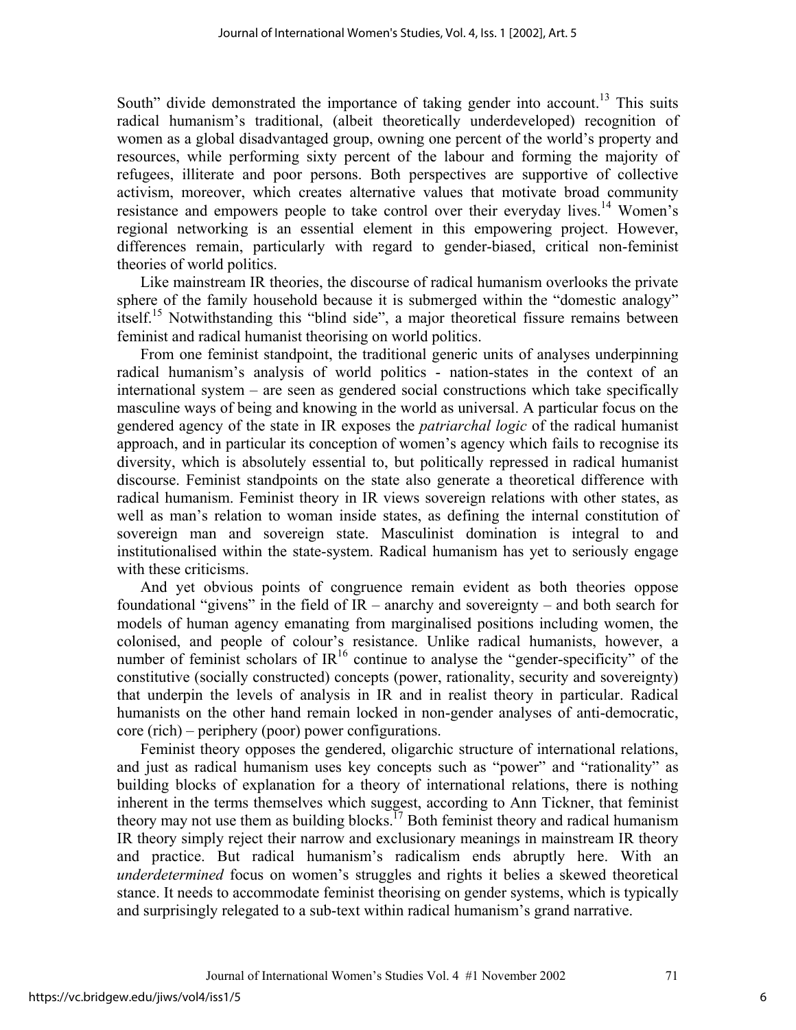South" divide demonstrated the importance of taking gender into account.<sup>13</sup> This suits radical humanism's traditional, (albeit theoretically underdeveloped) recognition of women as a global disadvantaged group, owning one percent of the world's property and resources, while performing sixty percent of the labour and forming the majority of refugees, illiterate and poor persons. Both perspectives are supportive of collective activism, moreover, which creates alternative values that motivate broad community resistance and empowers people to take control over their everyday lives.<sup>14</sup> Women's regional networking is an essential element in this empowering project. However, differences remain, particularly with regard to gender-biased, critical non-feminist theories of world politics.

Like mainstream IR theories, the discourse of radical humanism overlooks the private sphere of the family household because it is submerged within the "domestic analogy" itself.<sup>15</sup> Notwithstanding this "blind side", a major theoretical fissure remains between feminist and radical humanist theorising on world politics.

From one feminist standpoint, the traditional generic units of analyses underpinning radical humanism's analysis of world politics - nation-states in the context of an international system – are seen as gendered social constructions which take specifically masculine ways of being and knowing in the world as universal. A particular focus on the gendered agency of the state in IR exposes the *patriarchal logic* of the radical humanist approach, and in particular its conception of women's agency which fails to recognise its diversity, which is absolutely essential to, but politically repressed in radical humanist discourse. Feminist standpoints on the state also generate a theoretical difference with radical humanism. Feminist theory in IR views sovereign relations with other states, as well as man's relation to woman inside states, as defining the internal constitution of sovereign man and sovereign state. Masculinist domination is integral to and institutionalised within the state-system. Radical humanism has yet to seriously engage with these criticisms.

And yet obvious points of congruence remain evident as both theories oppose foundational "givens" in the field of  $IR$  – anarchy and sovereignty – and both search for models of human agency emanating from marginalised positions including women, the colonised, and people of colour's resistance. Unlike radical humanists, however, a number of feminist scholars of  $IR^{16}$  continue to analyse the "gender-specificity" of the constitutive (socially constructed) concepts (power, rationality, security and sovereignty) that underpin the levels of analysis in IR and in realist theory in particular. Radical humanists on the other hand remain locked in non-gender analyses of anti-democratic, core (rich) – periphery (poor) power configurations.

Feminist theory opposes the gendered, oligarchic structure of international relations, and just as radical humanism uses key concepts such as "power" and "rationality" as building blocks of explanation for a theory of international relations, there is nothing inherent in the terms themselves which suggest, according to Ann Tickner, that feminist theory may not use them as building blocks.<sup>17</sup> Both feminist theory and radical humanism IR theory simply reject their narrow and exclusionary meanings in mainstream IR theory and practice. But radical humanism's radicalism ends abruptly here. With an *underdetermined* focus on women's struggles and rights it belies a skewed theoretical stance. It needs to accommodate feminist theorising on gender systems, which is typically and surprisingly relegated to a sub-text within radical humanism's grand narrative.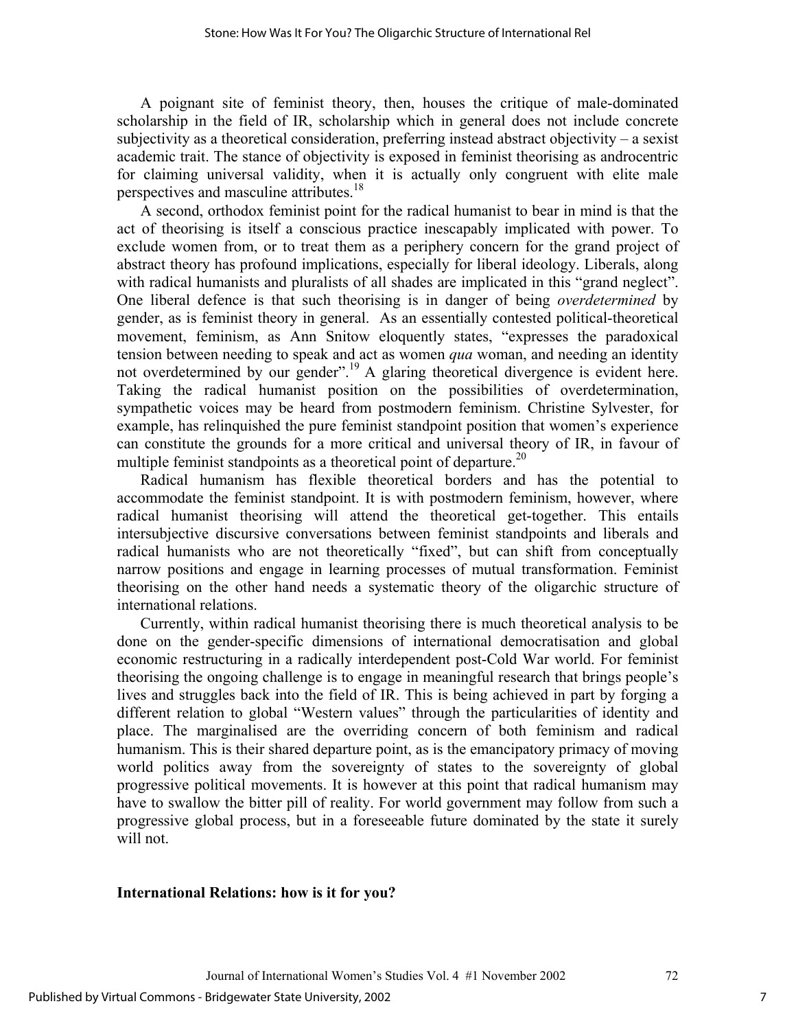A poignant site of feminist theory, then, houses the critique of male-dominated scholarship in the field of IR, scholarship which in general does not include concrete subjectivity as a theoretical consideration, preferring instead abstract objectivity – a sexist academic trait. The stance of objectivity is exposed in feminist theorising as androcentric for claiming universal validity, when it is actually only congruent with elite male perspectives and masculine attributes.<sup>18</sup>

A second, orthodox feminist point for the radical humanist to bear in mind is that the act of theorising is itself a conscious practice inescapably implicated with power. To exclude women from, or to treat them as a periphery concern for the grand project of abstract theory has profound implications, especially for liberal ideology. Liberals, along with radical humanists and pluralists of all shades are implicated in this "grand neglect". One liberal defence is that such theorising is in danger of being *overdetermined* by gender, as is feminist theory in general. As an essentially contested political-theoretical movement, feminism, as Ann Snitow eloquently states, "expresses the paradoxical tension between needing to speak and act as women *qua* woman, and needing an identity not overdetermined by our gender".<sup>19</sup> A glaring theoretical divergence is evident here. Taking the radical humanist position on the possibilities of overdetermination, sympathetic voices may be heard from postmodern feminism. Christine Sylvester, for example, has relinquished the pure feminist standpoint position that women's experience can constitute the grounds for a more critical and universal theory of IR, in favour of multiple feminist standpoints as a theoretical point of departure.<sup>20</sup>

Radical humanism has flexible theoretical borders and has the potential to accommodate the feminist standpoint. It is with postmodern feminism, however, where radical humanist theorising will attend the theoretical get-together. This entails intersubjective discursive conversations between feminist standpoints and liberals and radical humanists who are not theoretically "fixed", but can shift from conceptually narrow positions and engage in learning processes of mutual transformation. Feminist theorising on the other hand needs a systematic theory of the oligarchic structure of international relations.

Currently, within radical humanist theorising there is much theoretical analysis to be done on the gender-specific dimensions of international democratisation and global economic restructuring in a radically interdependent post-Cold War world. For feminist theorising the ongoing challenge is to engage in meaningful research that brings people's lives and struggles back into the field of IR. This is being achieved in part by forging a different relation to global "Western values" through the particularities of identity and place. The marginalised are the overriding concern of both feminism and radical humanism. This is their shared departure point, as is the emancipatory primacy of moving world politics away from the sovereignty of states to the sovereignty of global progressive political movements. It is however at this point that radical humanism may have to swallow the bitter pill of reality. For world government may follow from such a progressive global process, but in a foreseeable future dominated by the state it surely will not.

#### **International Relations: how is it for you?**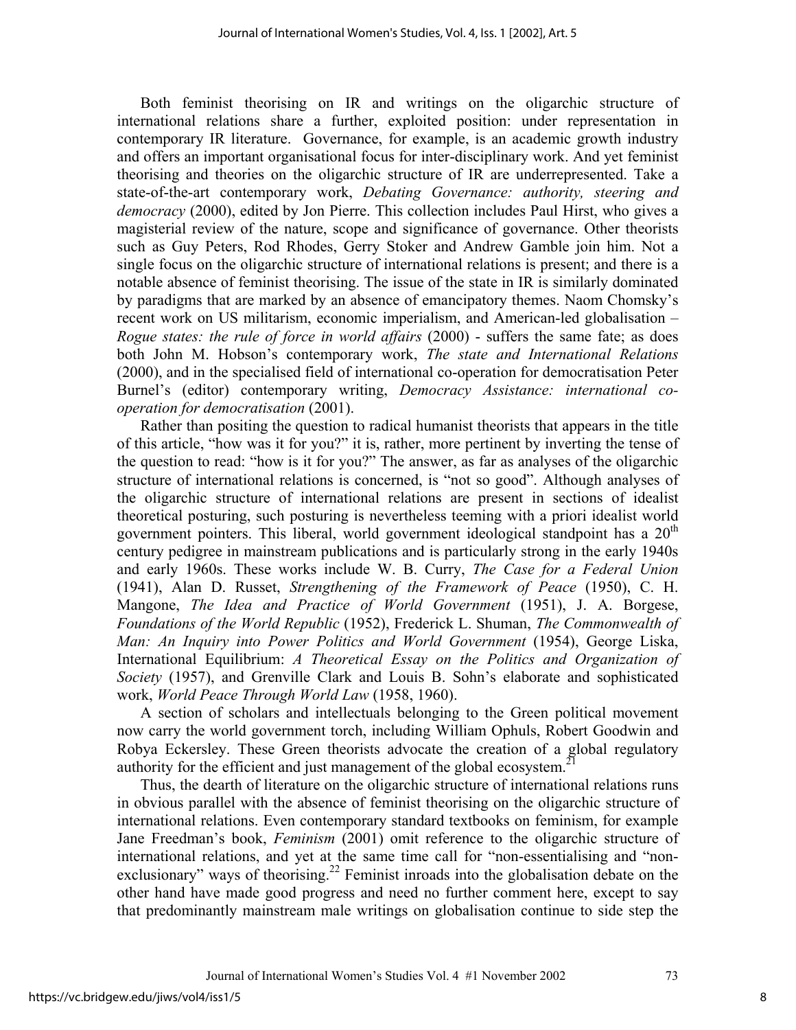Both feminist theorising on IR and writings on the oligarchic structure of international relations share a further, exploited position: under representation in contemporary IR literature. Governance, for example, is an academic growth industry and offers an important organisational focus for inter-disciplinary work. And yet feminist theorising and theories on the oligarchic structure of IR are underrepresented. Take a state-of-the-art contemporary work, *Debating Governance: authority, steering and democracy* (2000), edited by Jon Pierre. This collection includes Paul Hirst, who gives a magisterial review of the nature, scope and significance of governance. Other theorists such as Guy Peters, Rod Rhodes, Gerry Stoker and Andrew Gamble join him. Not a single focus on the oligarchic structure of international relations is present; and there is a notable absence of feminist theorising. The issue of the state in IR is similarly dominated by paradigms that are marked by an absence of emancipatory themes. Naom Chomsky's recent work on US militarism, economic imperialism, and American-led globalisation – *Rogue states: the rule of force in world affairs* (2000) - suffers the same fate; as does both John M. Hobson's contemporary work, *The state and International Relations*  (2000), and in the specialised field of international co-operation for democratisation Peter Burnel's (editor) contemporary writing, *Democracy Assistance: international cooperation for democratisation* (2001).

Rather than positing the question to radical humanist theorists that appears in the title of this article, "how was it for you?" it is, rather, more pertinent by inverting the tense of the question to read: "how is it for you?" The answer, as far as analyses of the oligarchic structure of international relations is concerned, is "not so good". Although analyses of the oligarchic structure of international relations are present in sections of idealist theoretical posturing, such posturing is nevertheless teeming with a priori idealist world government pointers. This liberal, world government ideological standpoint has a  $20<sup>th</sup>$ century pedigree in mainstream publications and is particularly strong in the early 1940s and early 1960s. These works include W. B. Curry, *The Case for a Federal Union*  (1941), Alan D. Russet, *Strengthening of the Framework of Peace* (1950), C. H. Mangone, *The Idea and Practice of World Government* (1951), J. A. Borgese, *Foundations of the World Republic* (1952), Frederick L. Shuman, *The Commonwealth of Man: An Inquiry into Power Politics and World Government* (1954), George Liska, International Equilibrium: *A Theoretical Essay on the Politics and Organization of Society* (1957), and Grenville Clark and Louis B. Sohn's elaborate and sophisticated work, *World Peace Through World Law* (1958, 1960).

A section of scholars and intellectuals belonging to the Green political movement now carry the world government torch, including William Ophuls, Robert Goodwin and Robya Eckersley. These Green theorists advocate the creation of a global regulatory authority for the efficient and just management of the global ecosystem.<sup>21</sup>

Thus, the dearth of literature on the oligarchic structure of international relations runs in obvious parallel with the absence of feminist theorising on the oligarchic structure of international relations. Even contemporary standard textbooks on feminism, for example Jane Freedman's book, *Feminism* (2001) omit reference to the oligarchic structure of international relations, and yet at the same time call for "non-essentialising and "nonexclusionary" ways of theorising.<sup>22</sup> Feminist inroads into the globalisation debate on the other hand have made good progress and need no further comment here, except to say that predominantly mainstream male writings on globalisation continue to side step the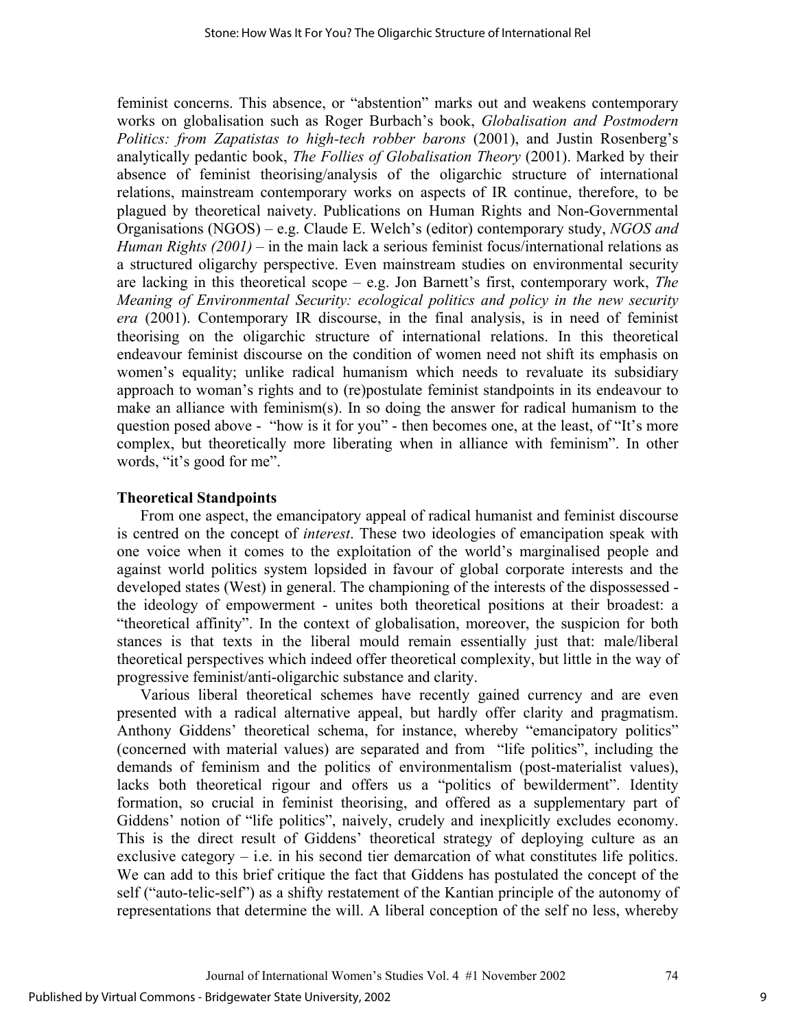feminist concerns. This absence, or "abstention" marks out and weakens contemporary works on globalisation such as Roger Burbach's book, *Globalisation and Postmodern Politics: from Zapatistas to high-tech robber barons* (2001), and Justin Rosenberg's analytically pedantic book, *The Follies of Globalisation Theory* (2001). Marked by their absence of feminist theorising/analysis of the oligarchic structure of international relations, mainstream contemporary works on aspects of IR continue, therefore, to be plagued by theoretical naivety. Publications on Human Rights and Non-Governmental Organisations (NGOS) – e.g. Claude E. Welch's (editor) contemporary study, *NGOS and Human Rights (2001)* – in the main lack a serious feminist focus/international relations as a structured oligarchy perspective. Even mainstream studies on environmental security are lacking in this theoretical scope – e.g. Jon Barnett's first, contemporary work, *The Meaning of Environmental Security: ecological politics and policy in the new security era* (2001). Contemporary IR discourse, in the final analysis, is in need of feminist theorising on the oligarchic structure of international relations. In this theoretical endeavour feminist discourse on the condition of women need not shift its emphasis on women's equality; unlike radical humanism which needs to revaluate its subsidiary approach to woman's rights and to (re)postulate feminist standpoints in its endeavour to make an alliance with feminism(s). In so doing the answer for radical humanism to the question posed above - "how is it for you" - then becomes one, at the least, of "It's more complex, but theoretically more liberating when in alliance with feminism". In other words, "it's good for me".

#### **Theoretical Standpoints**

From one aspect, the emancipatory appeal of radical humanist and feminist discourse is centred on the concept of *interest*. These two ideologies of emancipation speak with one voice when it comes to the exploitation of the world's marginalised people and against world politics system lopsided in favour of global corporate interests and the developed states (West) in general. The championing of the interests of the dispossessed the ideology of empowerment - unites both theoretical positions at their broadest: a "theoretical affinity". In the context of globalisation, moreover, the suspicion for both stances is that texts in the liberal mould remain essentially just that: male/liberal theoretical perspectives which indeed offer theoretical complexity, but little in the way of progressive feminist/anti-oligarchic substance and clarity.

Various liberal theoretical schemes have recently gained currency and are even presented with a radical alternative appeal, but hardly offer clarity and pragmatism. Anthony Giddens' theoretical schema, for instance, whereby "emancipatory politics" (concerned with material values) are separated and from "life politics", including the demands of feminism and the politics of environmentalism (post-materialist values), lacks both theoretical rigour and offers us a "politics of bewilderment". Identity formation, so crucial in feminist theorising, and offered as a supplementary part of Giddens' notion of "life politics", naively, crudely and inexplicitly excludes economy. This is the direct result of Giddens' theoretical strategy of deploying culture as an exclusive category  $-$  i.e. in his second tier demarcation of what constitutes life politics. We can add to this brief critique the fact that Giddens has postulated the concept of the self ("auto-telic-self") as a shifty restatement of the Kantian principle of the autonomy of representations that determine the will. A liberal conception of the self no less, whereby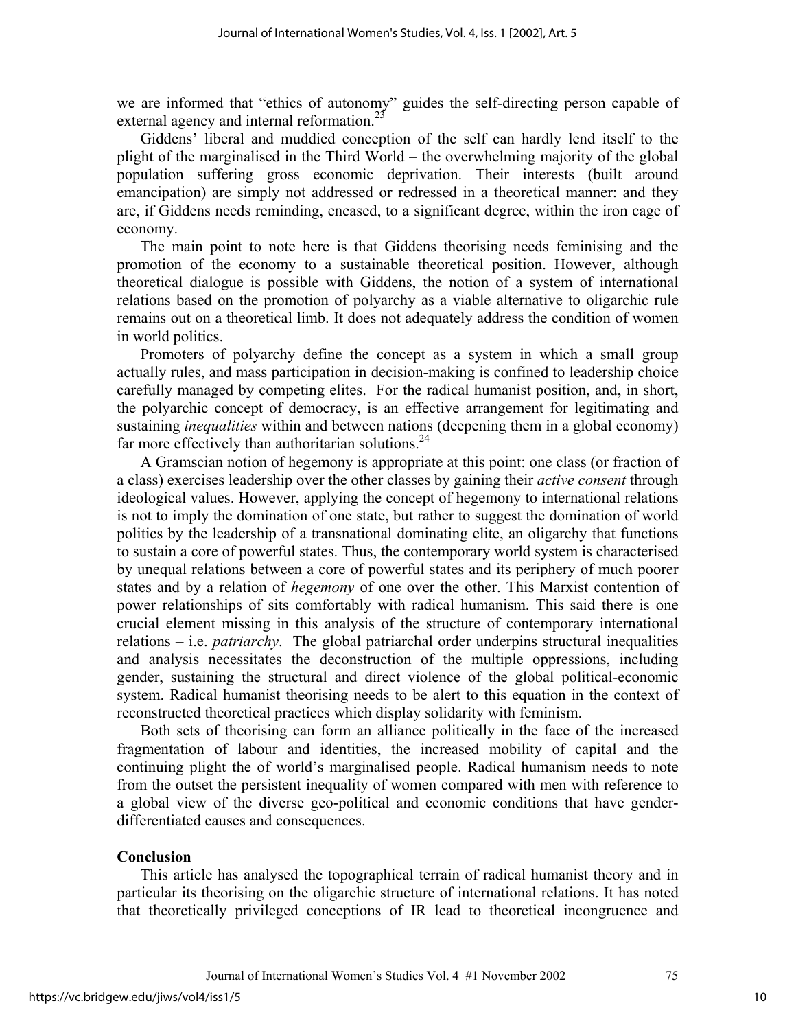we are informed that "ethics of autonomy" guides the self-directing person capable of external agency and internal reformation.<sup>23</sup>

Giddens' liberal and muddied conception of the self can hardly lend itself to the plight of the marginalised in the Third World – the overwhelming majority of the global population suffering gross economic deprivation. Their interests (built around emancipation) are simply not addressed or redressed in a theoretical manner: and they are, if Giddens needs reminding, encased, to a significant degree, within the iron cage of economy.

The main point to note here is that Giddens theorising needs feminising and the promotion of the economy to a sustainable theoretical position. However, although theoretical dialogue is possible with Giddens, the notion of a system of international relations based on the promotion of polyarchy as a viable alternative to oligarchic rule remains out on a theoretical limb. It does not adequately address the condition of women in world politics.

Promoters of polyarchy define the concept as a system in which a small group actually rules, and mass participation in decision-making is confined to leadership choice carefully managed by competing elites. For the radical humanist position, and, in short, the polyarchic concept of democracy, is an effective arrangement for legitimating and sustaining *inequalities* within and between nations (deepening them in a global economy) far more effectively than authoritarian solutions. $24$ 

A Gramscian notion of hegemony is appropriate at this point: one class (or fraction of a class) exercises leadership over the other classes by gaining their *active consent* through ideological values. However, applying the concept of hegemony to international relations is not to imply the domination of one state, but rather to suggest the domination of world politics by the leadership of a transnational dominating elite, an oligarchy that functions to sustain a core of powerful states. Thus, the contemporary world system is characterised by unequal relations between a core of powerful states and its periphery of much poorer states and by a relation of *hegemony* of one over the other. This Marxist contention of power relationships of sits comfortably with radical humanism. This said there is one crucial element missing in this analysis of the structure of contemporary international relations – i.e. *patriarchy*. The global patriarchal order underpins structural inequalities and analysis necessitates the deconstruction of the multiple oppressions, including gender, sustaining the structural and direct violence of the global political-economic system. Radical humanist theorising needs to be alert to this equation in the context of reconstructed theoretical practices which display solidarity with feminism.

Both sets of theorising can form an alliance politically in the face of the increased fragmentation of labour and identities, the increased mobility of capital and the continuing plight the of world's marginalised people. Radical humanism needs to note from the outset the persistent inequality of women compared with men with reference to a global view of the diverse geo-political and economic conditions that have genderdifferentiated causes and consequences.

## **Conclusion**

This article has analysed the topographical terrain of radical humanist theory and in particular its theorising on the oligarchic structure of international relations. It has noted that theoretically privileged conceptions of IR lead to theoretical incongruence and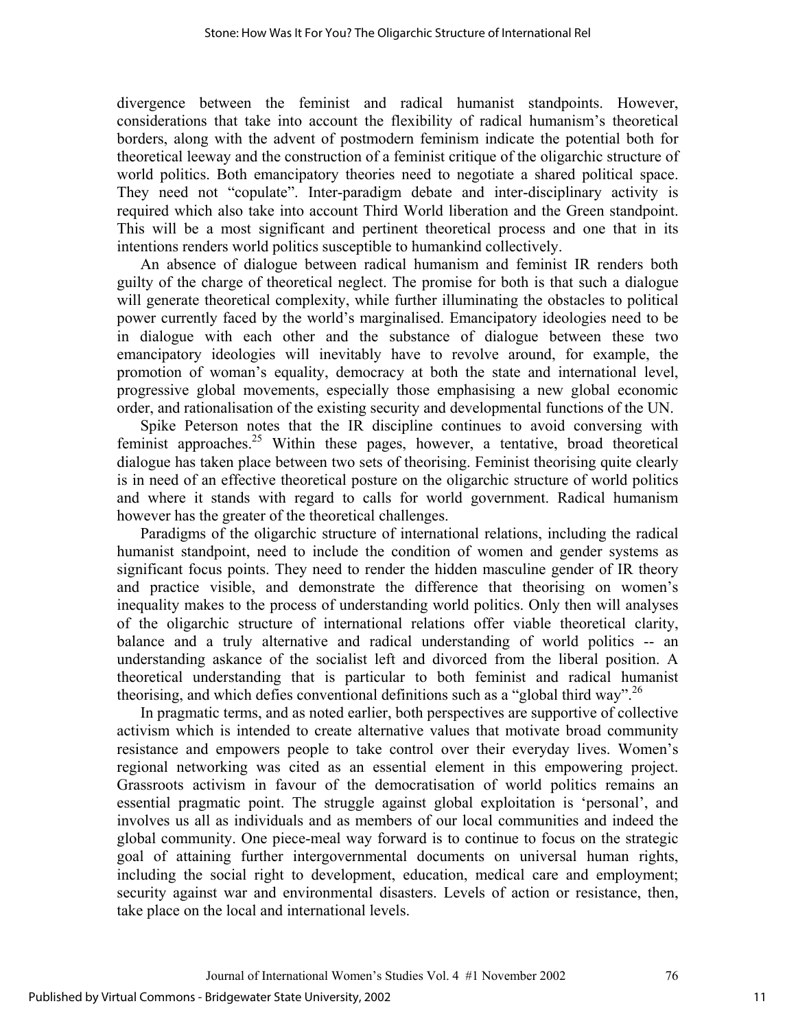divergence between the feminist and radical humanist standpoints. However, considerations that take into account the flexibility of radical humanism's theoretical borders, along with the advent of postmodern feminism indicate the potential both for theoretical leeway and the construction of a feminist critique of the oligarchic structure of world politics. Both emancipatory theories need to negotiate a shared political space. They need not "copulate". Inter-paradigm debate and inter-disciplinary activity is required which also take into account Third World liberation and the Green standpoint. This will be a most significant and pertinent theoretical process and one that in its intentions renders world politics susceptible to humankind collectively.

An absence of dialogue between radical humanism and feminist IR renders both guilty of the charge of theoretical neglect. The promise for both is that such a dialogue will generate theoretical complexity, while further illuminating the obstacles to political power currently faced by the world's marginalised. Emancipatory ideologies need to be in dialogue with each other and the substance of dialogue between these two emancipatory ideologies will inevitably have to revolve around, for example, the promotion of woman's equality, democracy at both the state and international level, progressive global movements, especially those emphasising a new global economic order, and rationalisation of the existing security and developmental functions of the UN.

Spike Peterson notes that the IR discipline continues to avoid conversing with feminist approaches.<sup>25</sup> Within these pages, however, a tentative, broad theoretical dialogue has taken place between two sets of theorising. Feminist theorising quite clearly is in need of an effective theoretical posture on the oligarchic structure of world politics and where it stands with regard to calls for world government. Radical humanism however has the greater of the theoretical challenges.

Paradigms of the oligarchic structure of international relations, including the radical humanist standpoint, need to include the condition of women and gender systems as significant focus points. They need to render the hidden masculine gender of IR theory and practice visible, and demonstrate the difference that theorising on women's inequality makes to the process of understanding world politics. Only then will analyses of the oligarchic structure of international relations offer viable theoretical clarity, balance and a truly alternative and radical understanding of world politics -- an understanding askance of the socialist left and divorced from the liberal position. A theoretical understanding that is particular to both feminist and radical humanist theorising, and which defies conventional definitions such as a "global third way".<sup>26</sup>

In pragmatic terms, and as noted earlier, both perspectives are supportive of collective activism which is intended to create alternative values that motivate broad community resistance and empowers people to take control over their everyday lives. Women's regional networking was cited as an essential element in this empowering project. Grassroots activism in favour of the democratisation of world politics remains an essential pragmatic point. The struggle against global exploitation is 'personal', and involves us all as individuals and as members of our local communities and indeed the global community. One piece-meal way forward is to continue to focus on the strategic goal of attaining further intergovernmental documents on universal human rights, including the social right to development, education, medical care and employment; security against war and environmental disasters. Levels of action or resistance, then, take place on the local and international levels.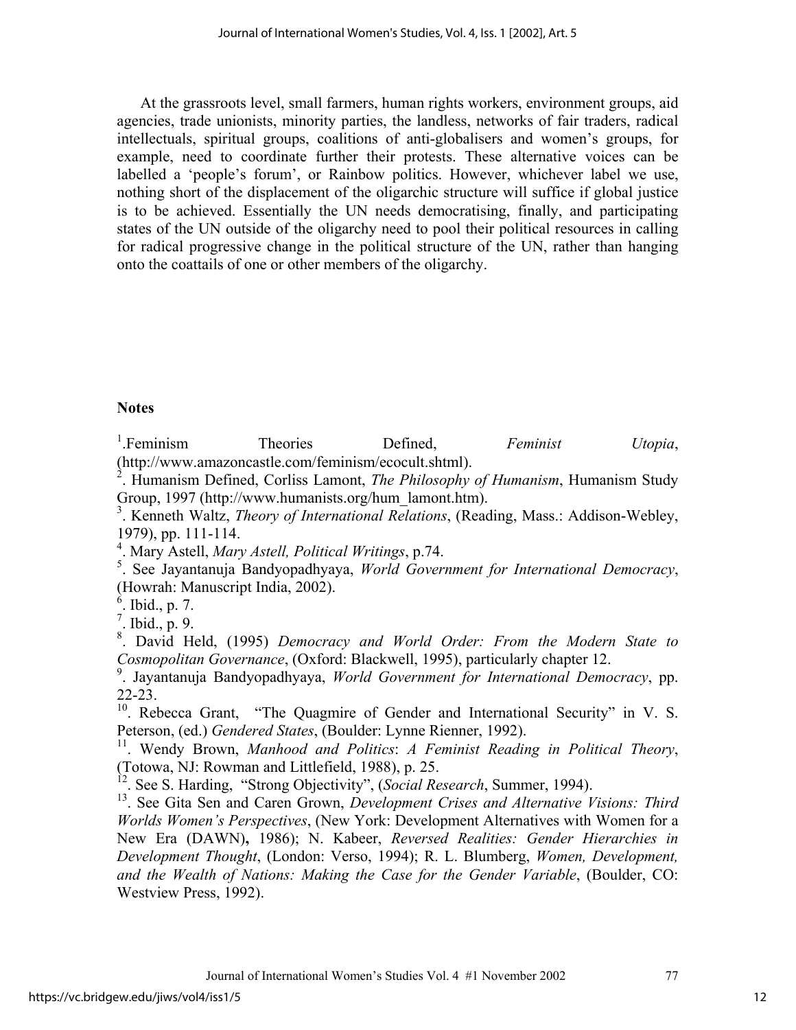At the grassroots level, small farmers, human rights workers, environment groups, aid agencies, trade unionists, minority parties, the landless, networks of fair traders, radical intellectuals, spiritual groups, coalitions of anti-globalisers and women's groups, for example, need to coordinate further their protests. These alternative voices can be labelled a 'people's forum', or Rainbow politics. However, whichever label we use, nothing short of the displacement of the oligarchic structure will suffice if global justice is to be achieved. Essentially the UN needs democratising, finally, and participating states of the UN outside of the oligarchy need to pool their political resources in calling for radical progressive change in the political structure of the UN, rather than hanging onto the coattails of one or other members of the oligarchy.

### **Notes**

<sup>1</sup>. Feminism Theories Defined, *Feminist Utopia*, (http://www.amazoncastle.com/feminism/ecocult.shtml).

2 . Humanism Defined, Corliss Lamont, *The Philosophy of Humanism*, Humanism Study Group, 1997 (http://www.humanists.org/hum\_lamont.htm).

3 . Kenneth Waltz, *Theory of International Relations*, (Reading, Mass.: Addison-Webley, 1979), pp. 111-114.

4 . Mary Astell, *Mary Astell, Political Writings*, p.74.

5 . See Jayantanuja Bandyopadhyaya, *World Government for International Democracy*, (Howrah: Manuscript India, 2002).

6 . Ibid., p. 7.

 $^7$ . Ibid., p. 9.

8 . David Held, (1995) *Democracy and World Order: From the Modern State to Cosmopolitan Governance*, (Oxford: Blackwell, 1995), particularly chapter 12.

9 . Jayantanuja Bandyopadhyaya, *World Government for International Democracy*, pp. 22-23.

<sup>10</sup>. Rebecca Grant, "The Quagmire of Gender and International Security" in V. S. Peterson, (ed.) *Gendered States*, (Boulder: Lynne Rienner, 1992).

11. Wendy Brown, *Manhood and Politics*: *A Feminist Reading in Political Theory*, (Totowa, NJ: Rowman and Littlefield, 1988), p. 25.

12. See S. Harding, "Strong Objectivity", (*Social Research*, Summer, 1994).

13. See Gita Sen and Caren Grown, *Development Crises and Alternative Visions: Third Worlds Women's Perspectives*, (New York: Development Alternatives with Women for a New Era (DAWN)**,** 1986); N. Kabeer, *Reversed Realities: Gender Hierarchies in Development Thought*, (London: Verso, 1994); R. L. Blumberg, *Women, Development, and the Wealth of Nations: Making the Case for the Gender Variable*, (Boulder, CO: Westview Press, 1992).